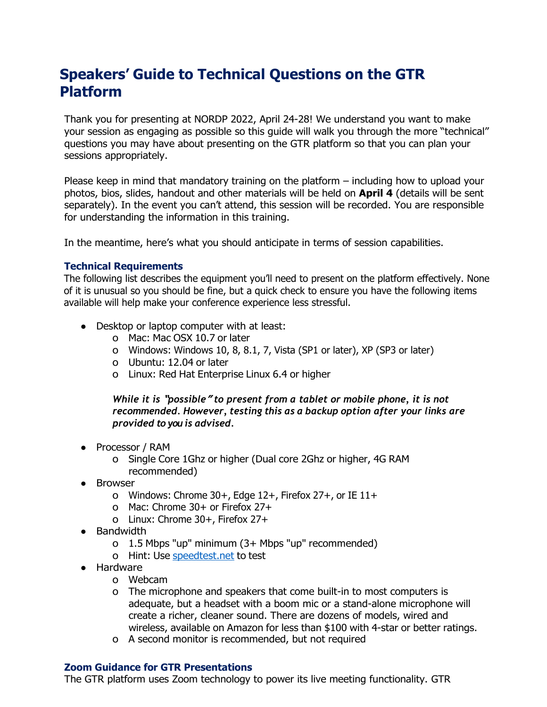# **Speakers' Guide to Technical Questions on the GTR Platform**

Thank you for presenting at NORDP 2022, April 24-28! We understand you want to make your session as engaging as possible so this guide will walk you through the more "technical" questions you may have about presenting on the GTR platform so that you can plan your sessions appropriately.

Please keep in mind that mandatory training on the platform – including how to upload your photos, bios, slides, handout and other materials will be held on **April 4** (details will be sent separately). In the event you can't attend, this session will be recorded. You are responsible for understanding the information in this training.

In the meantime, here's what you should anticipate in terms of session capabilities.

#### **Technical Requirements**

The following list describes the equipment you'll need to present on the platform effectively. None of it is unusual so you should be fine, but a quick check to ensure you have the following items available will help make your conference experience less stressful.

- Desktop or laptop computer with at least:
	- o Mac: Mac OSX 10.7 or later
	- o Windows: Windows 10, 8, 8.1, 7, Vista (SP1 or later), XP (SP3 or later)
	- o Ubuntu: 12.04 or later
	- o Linux: Red Hat Enterprise Linux 6.4 or higher

*While it is* **"***possible***"** *to present from a tablet or mobile phone, it is not recommended. However, testing this as a backup option after your links are provided to you is advised.*

- Processor / RAM
	- o Single Core 1Ghz or higher (Dual core 2Ghz or higher, 4G RAM recommended)
- Browser
	- o Windows: Chrome 30+, Edge 12+, Firefox 27+, or IE 11+
	- o Mac: Chrome 30+ or Firefox 27+
	- o Linux: Chrome 30+, Firefox 27+
- Bandwidth
	- o 1.5 Mbps "up" minimum (3+ Mbps "up" recommended)
	- o Hint: Use speedtest.net to test
- Hardware
	- o Webcam
	- o The microphone and speakers that come built-in to most computers is adequate, but a headset with a boom mic or a stand-alone microphone will create a richer, cleaner sound. There are dozens of models, wired and wireless, available on Amazon for less than \$100 with 4-star or better ratings.
	- o A second monitor is recommended, but not required

#### **Zoom Guidance for GTR Presentations**

The GTR platform uses Zoom technology to power its live meeting functionality. GTR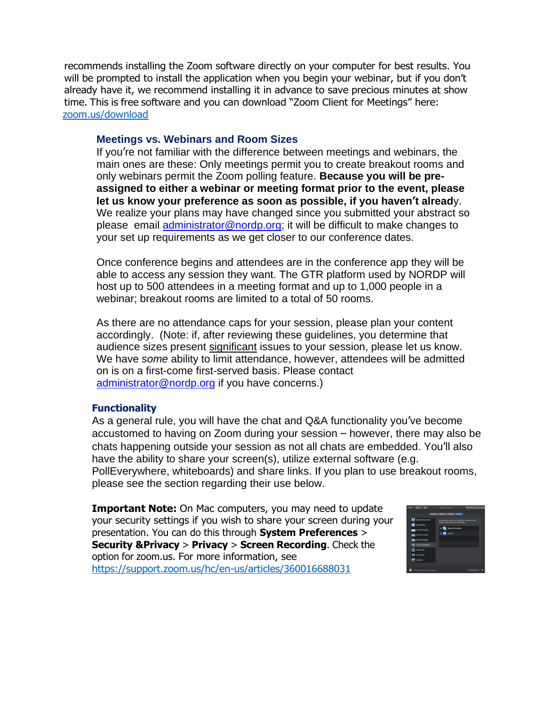recommends installing the Zoom software directly on your computer for best results. You will be prompted to install the application when you begin your webinar, but if you don't already have it, we recommend installing it in advance to save precious minutes at show time. This is free software and you can download "Zoom Client for Meetings" here: zoom.us/download

## **Meetings vs. Webinars and Room Sizes**

If you're not familiar with the difference between meetings and webinars, the main ones are these: Only meetings permit you to create breakout rooms and only webinars permit the Zoom polling feature. **Because you will be preassigned to either a webinar or meeting format prior to the event, please let us know your preference as soon as possible, if you haven't alread**y. We realize your plans may have changed since you submitted your abstract so please email [administrator@nordp.org;](mailto:administrator@nordp.org) it will be difficult to make changes to your set up requirements as we get closer to our conference dates.

Once conference begins and attendees are in the conference app they will be able to access any session they want. The GTR platform used by NORDP will host up to 500 attendees in a meeting format and up to 1,000 people in a webinar; breakout rooms are limited to a total of 50 rooms.

As there are no attendance caps for your session, please plan your content accordingly. (Note: if, after reviewing these guidelines, you determine that audience sizes present significant issues to your session, please let us know. We have *some* ability to limit attendance, however, attendees will be admitted on is on a first-come first-served basis. Please contact [administrator@nordp.org](mailto:administrator@nordp.org) if you have concerns.)

#### **Functionality**

As a general rule, you will have the chat and Q&A functionality you've become accustomed to having on Zoom during your session – however, there may also be chats happening outside your session as not all chats are embedded. You'll also have the ability to share your screen(s), utilize external software (e.g. PollEverywhere, whiteboards) and share links. If you plan to use breakout rooms, please see the section regarding their use below.

**Important Note:** On Mac computers, you may need to update your security settings if you wish to share your screen during your presentation. You can do this through **System Preferences** > **Security &Privacy** > **Privacy** > **Screen Recording**. Check the option for zoom.us. For more information, see https://support.zoom.us/hc/en-us/articles/360016688031

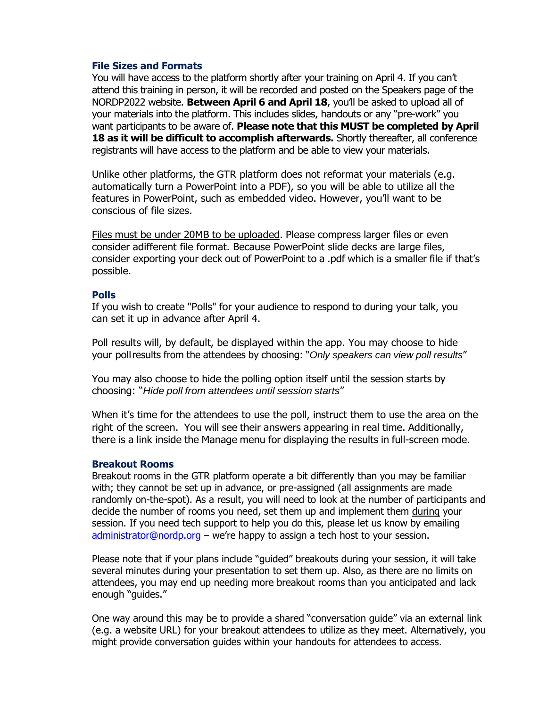### **File Sizes and Formats**

You will have access to the platform shortly after your training on April 4. If you can't attend this training in person, it will be recorded and posted on the Speakers page of the NORDP2022 website. **Between April 6 and April 18**, you'll be asked to upload all of your materials into the platform. This includes slides, handouts or any "pre-work" you want participants to be aware of. **Please note that this MUST be completed by April 18 as it will be difficult to accomplish afterwards.** Shortly thereafter, all conference registrants will have access to the platform and be able to view your materials.

Unlike other platforms, the GTR platform does not reformat your materials (e.g. automatically turn a PowerPoint into a PDF), so you will be able to utilize all the features in PowerPoint, such as embedded video. However, you'll want to be conscious of file sizes.

Files must be under 20MB to be uploaded. Please compress larger files or even consider adifferent file format. Because PowerPoint slide decks are large files, consider exporting your deck out of PowerPoint to a .pdf which is a smaller file if that's possible.

#### **Polls**

If you wish to create "Polls" for your audience to respond to during your talk, you can set it up in advance after April 4.

Poll results will, by default, be displayed within the app. You may choose to hide your poll results from the attendees by choosing: "*Only speakers can view poll results*"

You may also choose to hide the polling option itself until the session starts by choosing: "*Hide poll from attendees until session starts*"

When it's time for the attendees to use the poll, instruct them to use the area on the right of the screen. You will see their answers appearing in real time. Additionally, there is a link inside the Manage menu for displaying the results in full-screen mode.

#### **Breakout Rooms**

Breakout rooms in the GTR platform operate a bit differently than you may be familiar with; they cannot be set up in advance, or pre-assigned (all assignments are made randomly on-the-spot). As a result, you will need to look at the number of participants and decide the number of rooms you need, set them up and implement them during your session. If you need tech support to help you do this, please let us know by emailing [administrator@nordp.org](mailto:administrator@nordp.org) – we're happy to assign a tech host to your session.

Please note that if your plans include "guided" breakouts during your session, it will take several minutes during your presentation to set them up. Also, as there are no limits on attendees, you may end up needing more breakout rooms than you anticipated and lack enough "guides."

One way around this may be to provide a shared "conversation guide" via an external link (e.g. a website URL) for your breakout attendees to utilize as they meet. Alternatively, you might provide conversation guides within your handouts for attendees to access.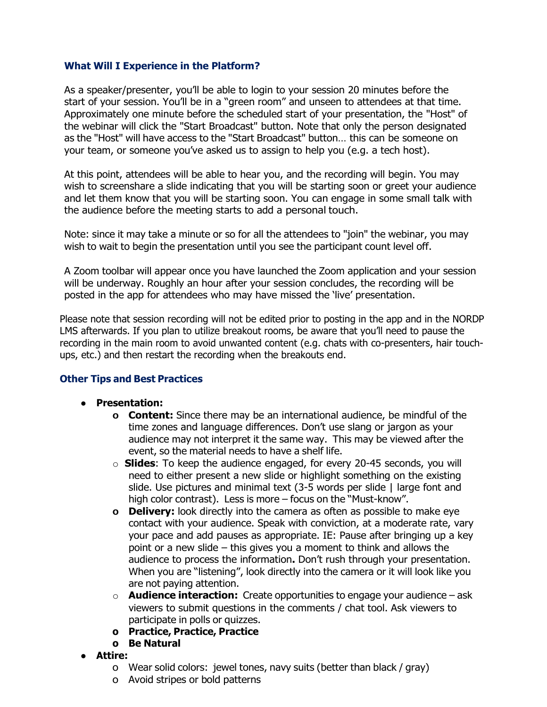## **What Will I Experience in the Platform?**

As a speaker/presenter, you'll be able to login to your session 20 minutes before the start of your session. You'll be in a "green room" and unseen to attendees at that time. Approximately one minute before the scheduled start of your presentation, the "Host" of the webinar will click the "Start Broadcast" button. Note that only the person designated as the "Host" will have access to the "Start Broadcast" button… this can be someone on your team, or someone you've asked us to assign to help you (e.g. a tech host).

At this point, attendees will be able to hear you, and the recording will begin. You may wish to screenshare a slide indicating that you will be starting soon or greet your audience and let them know that you will be starting soon. You can engage in some small talk with the audience before the meeting starts to add a personal touch.

Note: since it may take a minute or so for all the attendees to "join" the webinar, you may wish to wait to begin the presentation until you see the participant count level off.

A Zoom toolbar will appear once you have launched the Zoom application and your session will be underway. Roughly an hour after your session concludes, the recording will be posted in the app for attendees who may have missed the 'live' presentation.

Please note that session recording will not be edited prior to posting in the app and in the NORDP LMS afterwards. If you plan to utilize breakout rooms, be aware that you'll need to pause the recording in the main room to avoid unwanted content (e.g. chats with co-presenters, hair touchups, etc.) and then restart the recording when the breakouts end.

## **Other Tips and Best Practices**

- **● Presentation:**
	- **o Content:** Since there may be an international audience, be mindful of the time zones and language differences. Don't use slang or jargon as your audience may not interpret it the same way. This may be viewed after the event, so the material needs to have a shelf life.
	- o **Slides**: To keep the audience engaged, for every 20-45 seconds, you will need to either present a new slide or highlight something on the existing slide. Use pictures and minimal text (3-5 words per slide | large font and high color contrast). Less is more – focus on the "Must-know".
	- **o Delivery:** look directly into the camera as often as possible to make eye contact with your audience. Speak with conviction, at a moderate rate, vary your pace and add pauses as appropriate. IE: Pause after bringing up a key point or a new slide – this gives you a moment to think and allows the audience to process the information**.** Don't rush through your presentation. When you are "listening", look directly into the camera or it will look like you are not paying attention.
	- o **Audience interaction:** Create opportunities to engage your audience ask viewers to submit questions in the comments / chat tool. Ask viewers to participate in polls or quizzes.
	- **o Practice, Practice, Practice**
	- **o Be Natural**
- **Attire:**
	- o Wear solid colors: jewel tones, navy suits (better than black / gray)
	- o Avoid stripes or bold patterns